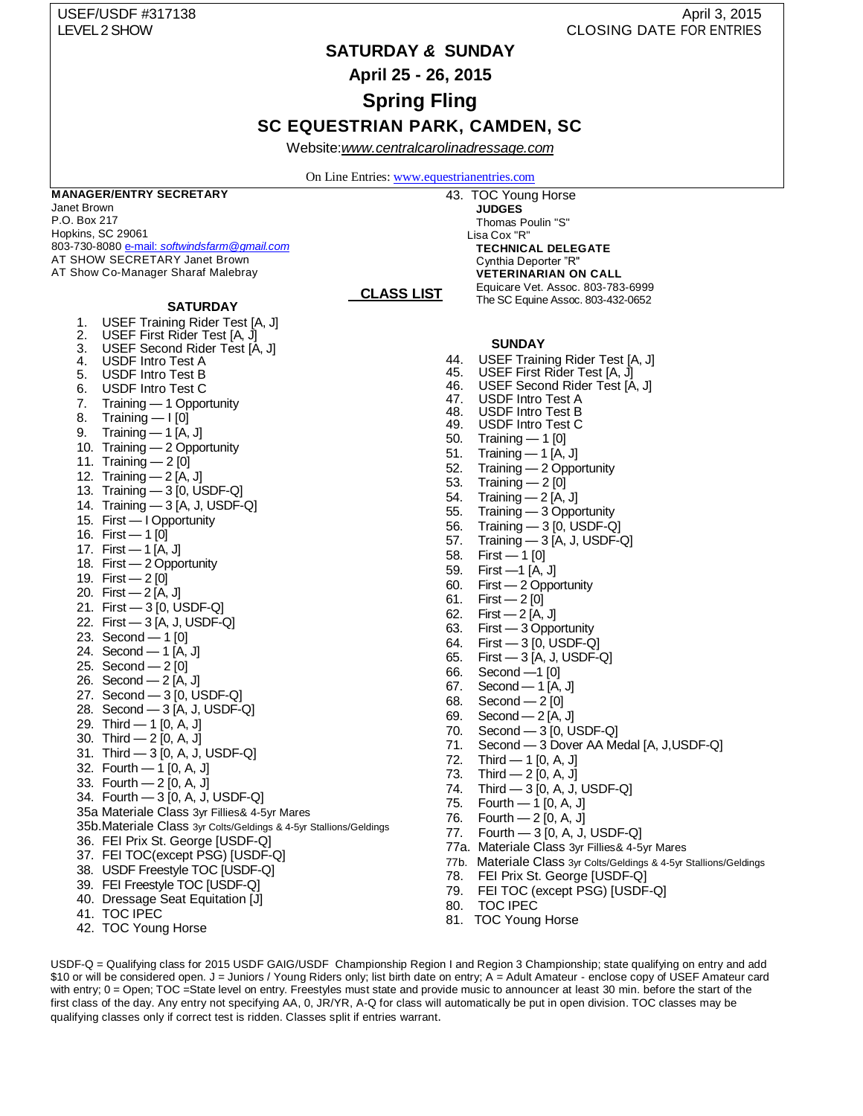# USEF/USDF #317138 April 3, 2015 LEVEL 2 SHOW CLOSING DATE FOR ENTRIES

# **SATURDAY** *&* **SUNDAY**

**April 25 - 26, 2015**

**Spring Fling**

# **SC EQUESTRIAN PARK, CAMDEN, SC**

Website:*[www.centralcarolinadressage.com](http://www.centralcarolinadressage.com/)*

On Line Entries[: www.equestrianentries.com](http://www.equestrianentries.com/)

 **CLASS LIST CLASS LIST**

#### **MANAGER/ENTRY SECRETARY**

Janet Brown P.O. Box 217 Hopkins, SC 29061 803-730-8080 e-mail: *[softwindsfarm@gmail.com](mailto:e-mail:%20softwindsfarm@gmail.com)*  AT SHOW SECRETARY Janet Brown AT Show Co-Manager Sharaf Malebray

#### **SATURDAY**

- 1. USEF Training Rider Test [A, J]
- 2. USEF First Rider Test [A, J]
- 3. USEF Second Rider Test [A, J]
- 4. USDF Intro Test A<br>5. USDF Intro Test B USDF Intro Test B
- 6. USDF Intro Test C
- 7. Training 1 Opportunity
- 8. Training I [0]
- 9. Training 1 [A, J]
- 10. Training 2 Opportunity
- 11. Training 2 [0]
- 12. Training 2 [A, J]
- 13. Training 3 [0, USDF-Q]
- 14. Training 3 [A, J, USDF-Q]
- 15. First I Opportunity
- 16. First 1 [0]
- 17. First 1 [A, J]
- 
- 18. First 2 Opportunity
- 19. First 2 [0] 20. First — 2 [A, J]
- 21. First 3 [0, USDF-Q]
- 22. First 3 [A, J, USDF-Q]
- 23. Second 1 [0]
- 
- 24. Second 1 [A, J] 25. Second — 2 [0]
- 26. Second 2 [A, J]
- 27. Second 3 [0, USDF-Q]
- 28. Second 3 [A, J, USDF-Q]
- 29. Third 1 [0, A, J]
- 
- 30. Third 2 [0, A, J]
- 31. Third 3 [0, A, J, USDF-Q]
- 32. Fourth 1 [0, A, J]
- 33. Fourth 2 [0, A, J]
- 34. Fourth 3 [0, A, J, USDF-Q]
- 35a Materiale Class 3yr Fillies& 4-5yr Mares
- 35b.Materiale Class 3yr Colts/Geldings & 4-5yr Stallions/Geldings
- 36. FEI Prix St. George [USDF-Q]
- 37. FEI TOC(except PSG) [USDF-Q]
- 38. USDF Freestyle TOC [USDF-Q]
- 39. FEI Freestyle TOC [USDF-Q]
- 40. Dressage Seat Equitation [J]
- 41. TOC IPEC
- 42. TOC Young Horse

43. TOC Young Horse **JUDGES** Thomas Poulin "S" Lisa Cox "R" **TECHNICAL DELEGATE** Cynthia Deporter "R" **VETERINARIAN ON CALL** Equicare Vet. Assoc. 803-783-6999 The SC Equine Assoc. 803-432-0652

#### **SUNDAY**

- 44. USEF Training Rider Test [A, J]<br>45. USEF First Rider Test [A, J]
- 45. USEF First Rider Test [A, J]
- 46. USEF Second Rider Test [A, J]
- 47. USDF Intro Test A
- 48. USDF Intro Test B<br>49. USDF Intro Test C
- USDF Intro Test C
- 50. Training 1 [0]
- 51. Training 1 [A, J]
- 52. Training 2 Opportunity
- 53. Training 2 [0]
- 54. Training 2 [A, J]
- 55. Training 3 Opportunity
- 56. Training 3 [0, USDF-Q]
- 57. Training 3 [A, J, USDF-Q]
- 58. First 1 [0]
- 59. First —1 [A, J]
- 60. First 2 Opportunity
- 61. First 2 [0]
- 62. First 2 [A, J]
- 63. First 3 Opportunity
- 64. First 3 [0, USDF-Q]
- 65. First 3 [A, J, USDF-Q]
- 66. Second —1 [0]
- 67. Second 1 [A, J]
- 68. Second 2 [0]
- 
- 69. Second 2 [A, J]<br>70. Second 3 [0, U
- 70. Second 3 [0, USDF-Q] 71. Second — 3 Dover AA Medal  $[A, J, USDF-Q]$ <br>72. Third — 1  $[0, A, J]$
- Third  $-$  1 [0, A, J]
- 73. Third 2 [0, A, J]
- 74. Third 3 [0, A, J, USDF-Q]
- 75. Fourth 1 [0, A, J]
- 
- 76. Fourth 2 [0, A, J]<br>77. Fourth 3 [0, A, J.  $F$ ourth — 3 [0, A, J, USDF-Q]
- 77a. Materiale Class 3yr Fillies& 4-5yr Mares
- 77b. Materiale Class 3yr Colts/Geldings & 4-5yr Stallions/Geldings
- 78. FEI Prix St. George [USDF-Q]
- 79. FEI TOC (except PSG) [USDF-Q]
- 80. TOC IPEC
- 81. TOC Young Horse

USDF-Q = Qualifying class for 2015 USDF GAIG/USDF Championship Region I and Region 3 Championship; state qualifying on entry and add \$10 or will be considered open. J = Juniors / Young Riders only; list birth date on entry; A = Adult Amateur - enclose copy of USEF Amateur card with entry; 0 = Open; TOC =State level on entry. Freestyles must state and provide music to announcer at least 30 min. before the start of the first class of the day. Any entry not specifying AA, 0, JR/YR, A-Q for class will automatically be put in open division. TOC classes may be qualifying classes only if correct test is ridden. Classes split if entries warrant.